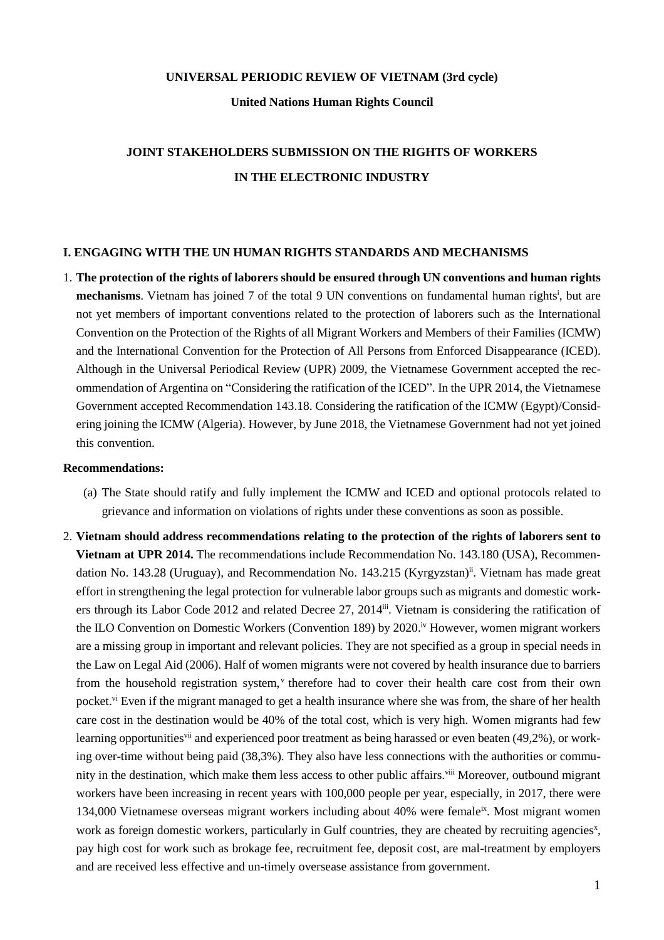#### **UNIVERSAL PERIODIC REVIEW OF VIETNAM (3rd cycle)**

**United Nations Human Rights Council**

# **JOINT STAKEHOLDERS SUBMISSION ON THE RIGHTS OF WORKERS IN THE ELECTRONIC INDUSTRY**

#### **I. ENGAGING WITH THE UN HUMAN RIGHTS STANDARDS AND MECHANISMS**

1. **The protection of the rights of laborers should be ensured through UN conventions and human rights mechanisms**. Vietnam has joined 7 of the total 9 UN conventions on fundamental human rights<sup>i</sup>, but are not yet members of important conventions related to the protection of laborers such as the International Convention on the Protection of the Rights of all Migrant Workers and Members of their Families (ICMW) and the International Convention for the Protection of All Persons from Enforced Disappearance (ICED). Although in the Universal Periodical Review (UPR) 2009, the Vietnamese Government accepted the recommendation of Argentina on "Considering the ratification of the ICED". In the UPR 2014, the Vietnamese Government accepted Recommendation 143.18. Considering the ratification of the ICMW (Egypt)/Considering joining the ICMW (Algeria). However, by June 2018, the Vietnamese Government had not yet joined this convention.

- (a) The State should ratify and fully implement the ICMW and ICED and optional protocols related to grievance and information on violations of rights under these conventions as soon as possible.
- 2. **Vietnam should address recommendations relating to the protection of the rights of laborers sent to Vietnam at UPR 2014.** The recommendations include Recommendation No. 143.180 (USA), Recommendation No. 143.28 (Uruguay), and Recommendation No. 143.215 (Kyrgyzstan)<sup>ii</sup>. Vietnam has made great effort in strengthening the legal protection for vulnerable labor groups such as migrants and domestic workers through its Labor Code 2012 and related Decree 27, 2014<sup>ii</sup>. Vietnam is considering the ratification of the ILO Convention on Domestic Workers (Convention 189) by 2020.<sup>iv</sup> However, women migrant workers are a missing group in important and relevant policies. They are not specified as a group in special needs in the Law on Legal Aid (2006). Half of women migrants were not covered by health insurance due to barriers from the household registration system,<sup>v</sup> therefore had to cover their health care cost from their own pocket.<sup>vi</sup> Even if the migrant managed to get a health insurance where she was from, the share of her health care cost in the destination would be 40% of the total cost, which is very high. Women migrants had few learning opportunities<sup>vii</sup> and experienced poor treatment as being harassed or even beaten (49,2%), or working over-time without being paid (38,3%). They also have less connections with the authorities or community in the destination, which make them less access to other public affairs.<sup>viii</sup> Moreover, outbound migrant workers have been increasing in recent years with 100,000 people per year, especially, in 2017, there were 134,000 Vietnamese overseas migrant workers including about 40% were female<sup>ix</sup>. Most migrant women work as foreign domestic workers, particularly in Gulf countries, they are cheated by recruiting agencies<sup>x</sup>, pay high cost for work such as brokage fee, recruitment fee, deposit cost, are mal-treatment by employers and are received less effective and un-timely oversease assistance from government.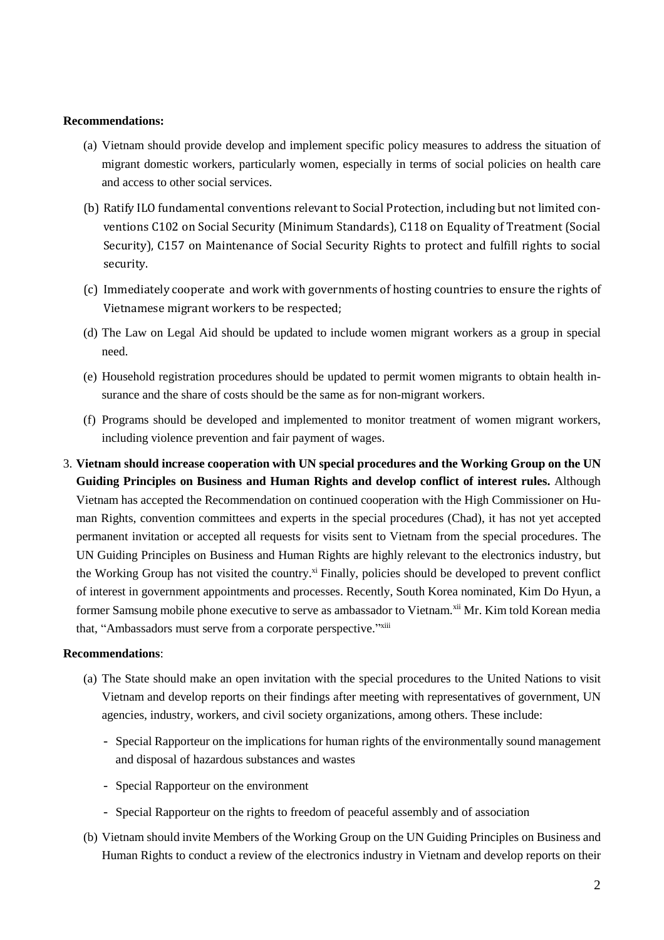#### **Recommendations:**

- (a) Vietnam should provide develop and implement specific policy measures to address the situation of migrant domestic workers, particularly women, especially in terms of social policies on health care and access to other social services.
- (b) Ratify ILO fundamental conventions relevant to Social Protection, including but not limited conventions C102 on Social Security (Minimum Standards), C118 on Equality of Treatment (Social Security), C157 on Maintenance of Social Security Rights to protect and fulfill rights to social security.
- (c) Immediately cooperate and work with governments of hosting countries to ensure the rights of Vietnamese migrant workers to be respected;
- (d) The Law on Legal Aid should be updated to include women migrant workers as a group in special need.
- (e) Household registration procedures should be updated to permit women migrants to obtain health insurance and the share of costs should be the same as for non-migrant workers.
- (f) Programs should be developed and implemented to monitor treatment of women migrant workers, including violence prevention and fair payment of wages.
- 3. **Vietnam should increase cooperation with UN special procedures and the Working Group on the UN Guiding Principles on Business and Human Rights and develop conflict of interest rules.** Although Vietnam has accepted the Recommendation on continued cooperation with the High Commissioner on Human Rights, convention committees and experts in the special procedures (Chad), it has not yet accepted permanent invitation or accepted all requests for visits sent to Vietnam from the special procedures. The UN Guiding Principles on Business and Human Rights are highly relevant to the electronics industry, but the Working Group has not visited the country.<sup>xi</sup> Finally, policies should be developed to prevent conflict of interest in government appointments and processes. Recently, South Korea nominated, Kim Do Hyun, a former Samsung mobile phone executive to serve as ambassador to Vietnam.<sup>xii</sup> Mr. Kim told Korean media that, "Ambassadors must serve from a corporate perspective."xiii

- (a) The State should make an open invitation with the special procedures to the United Nations to visit Vietnam and develop reports on their findings after meeting with representatives of government, UN agencies, industry, workers, and civil society organizations, among others. These include:
	- Special Rapporteur on the implications for human rights of the environmentally sound management and disposal of hazardous substances and wastes
	- Special Rapporteur on the environment
	- Special Rapporteur on the rights to freedom of peaceful assembly and of association
- (b) Vietnam should invite Members of the Working Group on the UN Guiding Principles on Business and Human Rights to conduct a review of the electronics industry in Vietnam and develop reports on their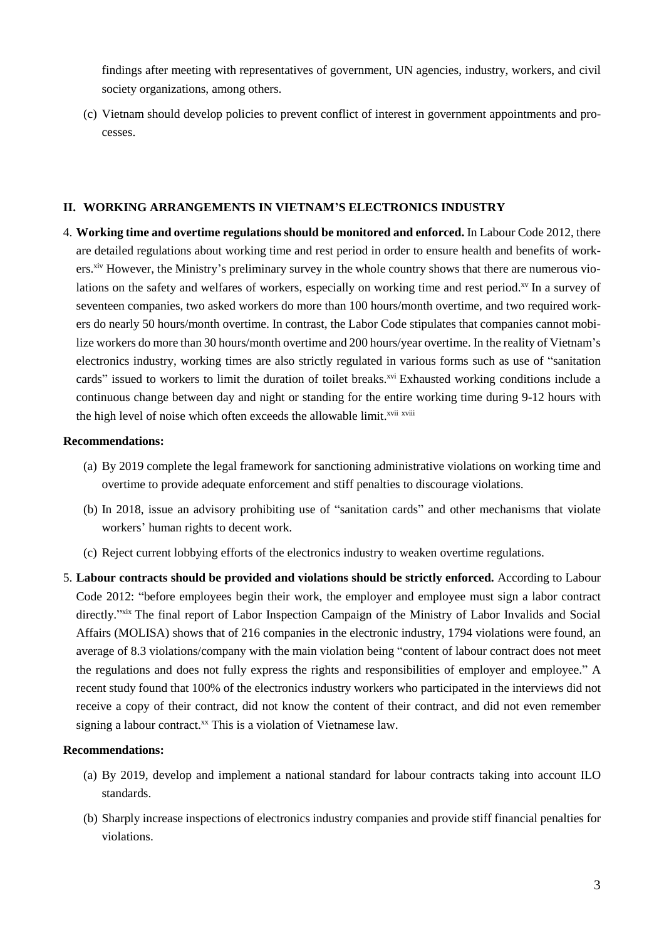findings after meeting with representatives of government, UN agencies, industry, workers, and civil society organizations, among others.

(c) Vietnam should develop policies to prevent conflict of interest in government appointments and processes.

#### **II. WORKING ARRANGEMENTS IN VIETNAM'S ELECTRONICS INDUSTRY**

4. **Working time and overtime regulations should be monitored and enforced.** In Labour Code 2012, there are detailed regulations about working time and rest period in order to ensure health and benefits of workers.<sup>xiv</sup> However, the Ministry's preliminary survey in the whole country shows that there are numerous violations on the safety and welfares of workers, especially on working time and rest period.<sup>xv</sup> In a survey of seventeen companies, two asked workers do more than 100 hours/month overtime, and two required workers do nearly 50 hours/month overtime. In contrast, the Labor Code stipulates that companies cannot mobilize workers do more than 30 hours/month overtime and 200 hours/year overtime. In the reality of Vietnam's electronics industry, working times are also strictly regulated in various forms such as use of "sanitation cards" issued to workers to limit the duration of toilet breaks.<sup>xvi</sup> Exhausted working conditions include a continuous change between day and night or standing for the entire working time during 9-12 hours with the high level of noise which often exceeds the allowable limit.<sup>xvii xviii</sup>

#### **Recommendations:**

- (a) By 2019 complete the legal framework for sanctioning administrative violations on working time and overtime to provide adequate enforcement and stiff penalties to discourage violations.
- (b) In 2018, issue an advisory prohibiting use of "sanitation cards" and other mechanisms that violate workers' human rights to decent work.
- (c) Reject current lobbying efforts of the electronics industry to weaken overtime regulations.
- 5. **Labour contracts should be provided and violations should be strictly enforced.** According to Labour Code 2012: "before employees begin their work, the employer and employee must sign a labor contract directly."xix The final report of Labor Inspection Campaign of the Ministry of Labor Invalids and Social Affairs (MOLISA) shows that of 216 companies in the electronic industry, 1794 violations were found, an average of 8.3 violations/company with the main violation being "content of labour contract does not meet the regulations and does not fully express the rights and responsibilities of employer and employee." A recent study found that 100% of the electronics industry workers who participated in the interviews did not receive a copy of their contract, did not know the content of their contract, and did not even remember signing a labour contract.<sup>xx</sup> This is a violation of Vietnamese law.

- (a) By 2019, develop and implement a national standard for labour contracts taking into account ILO standards.
- (b) Sharply increase inspections of electronics industry companies and provide stiff financial penalties for violations.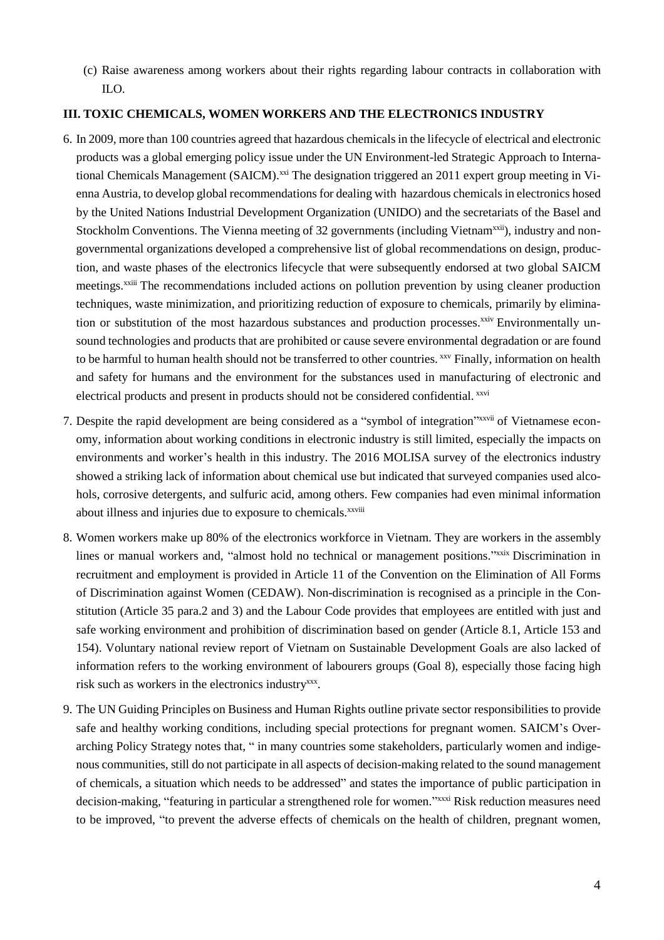(c) Raise awareness among workers about their rights regarding labour contracts in collaboration with ILO.

#### **III. TOXIC CHEMICALS, WOMEN WORKERS AND THE ELECTRONICS INDUSTRY**

- 6. In 2009, more than 100 countries agreed that hazardous chemicalsin the lifecycle of electrical and electronic products was a global emerging policy issue under the UN Environment-led Strategic Approach to International Chemicals Management (SAICM).<sup>xxi</sup> The designation triggered an 2011 expert group meeting in Vienna Austria, to develop global recommendations for dealing with hazardous chemicalsin electronics hosed by the United Nations Industrial Development Organization (UNIDO) and the secretariats of the Basel and Stockholm Conventions. The Vienna meeting of 32 governments (including Vietnam<sup>xxii</sup>), industry and nongovernmental organizations developed a comprehensive list of global recommendations on design, production, and waste phases of the electronics lifecycle that were subsequently endorsed at two global SAICM meetings.xxiii The recommendations included actions on pollution prevention by using cleaner production techniques, waste minimization, and prioritizing reduction of exposure to chemicals, primarily by elimination or substitution of the most hazardous substances and production processes.<sup>xxiv</sup> Environmentally unsound technologies and products that are prohibited or cause severe environmental degradation or are found to be harmful to human health should not be transferred to other countries. *xxv* Finally, information on health and safety for humans and the environment for the substances used in manufacturing of electronic and electrical products and present in products should not be considered confidential. xxvi
- 7. Despite the rapid development are being considered as a "symbol of integration"<sup>xxvii</sup> of Vietnamese economy, information about working conditions in electronic industry is still limited, especially the impacts on environments and worker's health in this industry. The 2016 MOLISA survey of the electronics industry showed a striking lack of information about chemical use but indicated that surveyed companies used alcohols, corrosive detergents, and sulfuric acid, among others. Few companies had even minimal information about illness and injuries due to exposure to chemicals.<sup>xxviii</sup>
- 8. Women workers make up 80% of the electronics workforce in Vietnam. They are workers in the assembly lines or manual workers and, "almost hold no technical or management positions."xxix Discrimination in recruitment and employment is provided in Article 11 of the Convention on the Elimination of All Forms of Discrimination against Women (CEDAW). Non-discrimination is recognised as a principle in the Constitution (Article 35 para.2 and 3) and the Labour Code provides that employees are entitled with just and safe working environment and prohibition of discrimination based on gender (Article 8.1, Article 153 and 154). Voluntary national review report of Vietnam on Sustainable Development Goals are also lacked of information refers to the working environment of labourers groups (Goal 8), especially those facing high risk such as workers in the electronics industry<sup>xxx</sup>.
- 9. The UN Guiding Principles on Business and Human Rights outline private sector responsibilities to provide safe and healthy working conditions, including special protections for pregnant women. SAICM's Overarching Policy Strategy notes that, " in many countries some stakeholders, particularly women and indigenous communities, still do not participate in all aspects of decision-making related to the sound management of chemicals, a situation which needs to be addressed" and states the importance of public participation in decision-making, "featuring in particular a strengthened role for women."xxxi Risk reduction measures need to be improved, "to prevent the adverse effects of chemicals on the health of children, pregnant women,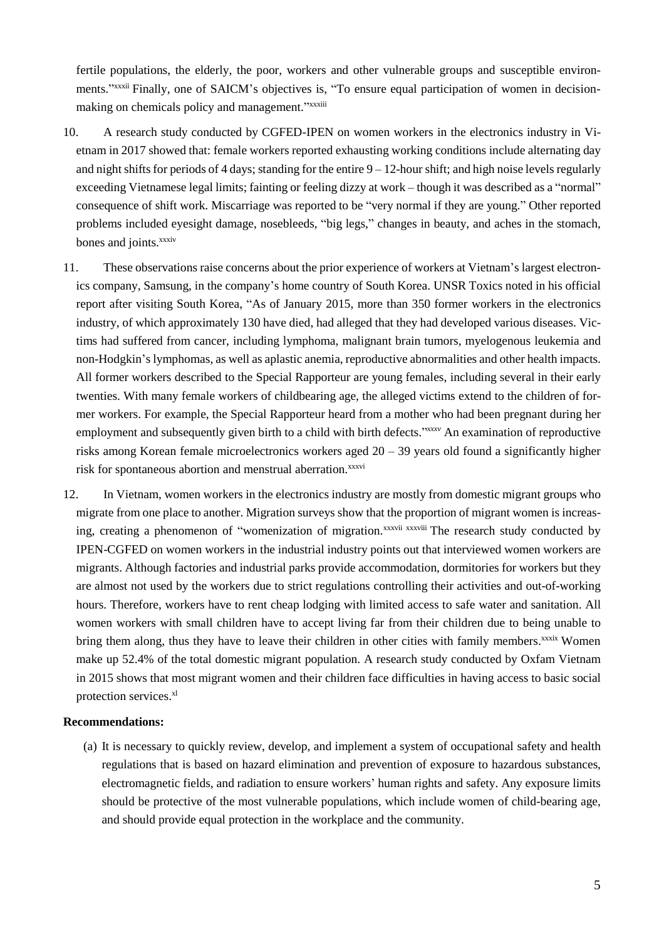fertile populations, the elderly, the poor, workers and other vulnerable groups and susceptible environments."<sup>xxxxii</sup> Finally, one of SAICM's objectives is, "To ensure equal participation of women in decisionmaking on chemicals policy and management."xxxxiii

- 10. A research study conducted by CGFED-IPEN on women workers in the electronics industry in Vietnam in 2017 showed that: female workers reported exhausting working conditions include alternating day and night shifts for periods of 4 days; standing for the entire  $9 - 12$ -hour shift; and high noise levels regularly exceeding Vietnamese legal limits; fainting or feeling dizzy at work – though it was described as a "normal" consequence of shift work. Miscarriage was reported to be "very normal if they are young." Other reported problems included eyesight damage, nosebleeds, "big legs," changes in beauty, and aches in the stomach, bones and joints.<sup>xxxiv</sup>
- 11. These observations raise concerns about the prior experience of workers at Vietnam's largest electronics company, Samsung, in the company's home country of South Korea. UNSR Toxics noted in his official report after visiting South Korea, "As of January 2015, more than 350 former workers in the electronics industry, of which approximately 130 have died, had alleged that they had developed various diseases. Victims had suffered from cancer, including lymphoma, malignant brain tumors, myelogenous leukemia and non-Hodgkin's lymphomas, as well as aplastic anemia, reproductive abnormalities and other health impacts. All former workers described to the Special Rapporteur are young females, including several in their early twenties. With many female workers of childbearing age, the alleged victims extend to the children of former workers. For example, the Special Rapporteur heard from a mother who had been pregnant during her employment and subsequently given birth to a child with birth defects." *xxxv* An examination of reproductive risks among Korean female microelectronics workers aged  $20 - 39$  years old found a significantly higher risk for spontaneous abortion and menstrual aberration.<sup>xxxvi</sup>
- 12. In Vietnam, women workers in the electronics industry are mostly from domestic migrant groups who migrate from one place to another. Migration surveys show that the proportion of migrant women is increasing, creating a phenomenon of "womenization of migration.<sup>xxxvii</sup> xxxviii The research study conducted by IPEN-CGFED on women workers in the industrial industry points out that interviewed women workers are migrants. Although factories and industrial parks provide accommodation, dormitories for workers but they are almost not used by the workers due to strict regulations controlling their activities and out-of-working hours. Therefore, workers have to rent cheap lodging with limited access to safe water and sanitation. All women workers with small children have to accept living far from their children due to being unable to bring them along, thus they have to leave their children in other cities with family members.<sup>xxxix</sup> Women make up 52.4% of the total domestic migrant population. A research study conducted by Oxfam Vietnam in 2015 shows that most migrant women and their children face difficulties in having access to basic social protection services.<sup>xl</sup>

#### **Recommendations:**

(a) It is necessary to quickly review, develop, and implement a system of occupational safety and health regulations that is based on hazard elimination and prevention of exposure to hazardous substances, electromagnetic fields, and radiation to ensure workers' human rights and safety. Any exposure limits should be protective of the most vulnerable populations, which include women of child-bearing age, and should provide equal protection in the workplace and the community.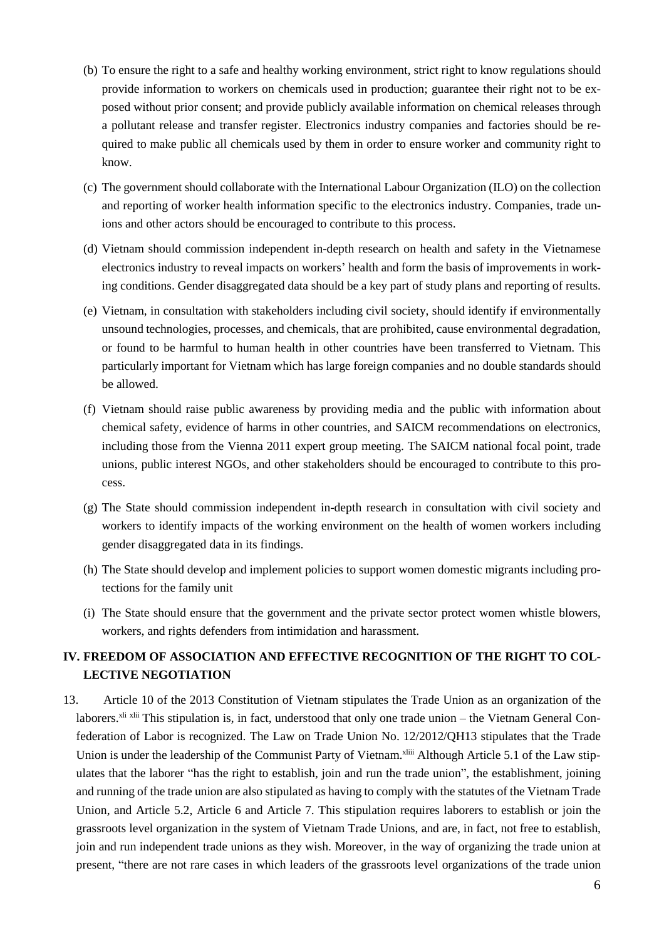- (b) To ensure the right to a safe and healthy working environment, strict right to know regulations should provide information to workers on chemicals used in production; guarantee their right not to be exposed without prior consent; and provide publicly available information on chemical releases through a pollutant release and transfer register. Electronics industry companies and factories should be required to make public all chemicals used by them in order to ensure worker and community right to know.
- (c) The government should collaborate with the International Labour Organization (ILO) on the collection and reporting of worker health information specific to the electronics industry. Companies, trade unions and other actors should be encouraged to contribute to this process.
- (d) Vietnam should commission independent in-depth research on health and safety in the Vietnamese electronics industry to reveal impacts on workers' health and form the basis of improvements in working conditions. Gender disaggregated data should be a key part of study plans and reporting of results.
- (e) Vietnam, in consultation with stakeholders including civil society, should identify if environmentally unsound technologies, processes, and chemicals, that are prohibited, cause environmental degradation, or found to be harmful to human health in other countries have been transferred to Vietnam. This particularly important for Vietnam which has large foreign companies and no double standards should be allowed.
- (f) Vietnam should raise public awareness by providing media and the public with information about chemical safety, evidence of harms in other countries, and SAICM recommendations on electronics, including those from the Vienna 2011 expert group meeting. The SAICM national focal point, trade unions, public interest NGOs, and other stakeholders should be encouraged to contribute to this process.
- (g) The State should commission independent in-depth research in consultation with civil society and workers to identify impacts of the working environment on the health of women workers including gender disaggregated data in its findings.
- (h) The State should develop and implement policies to support women domestic migrants including protections for the family unit
- (i) The State should ensure that the government and the private sector protect women whistle blowers, workers, and rights defenders from intimidation and harassment.

### **IV. FREEDOM OF ASSOCIATION AND EFFECTIVE RECOGNITION OF THE RIGHT TO COL-LECTIVE NEGOTIATION**

13. Article 10 of the 2013 Constitution of Vietnam stipulates the Trade Union as an organization of the laborers.<sup>xli xlii</sup> This stipulation is, in fact, understood that only one trade union – the Vietnam General Confederation of Labor is recognized. The Law on Trade Union No. 12/2012/QH13 stipulates that the Trade Union is under the leadership of the Communist Party of Vietnam.<sup>xliii</sup> Although Article 5.1 of the Law stipulates that the laborer "has the right to establish, join and run the trade union", the establishment, joining and running of the trade union are also stipulated as having to comply with the statutes of the Vietnam Trade Union, and Article 5.2, Article 6 and Article 7. This stipulation requires laborers to establish or join the grassroots level organization in the system of Vietnam Trade Unions, and are, in fact, not free to establish, join and run independent trade unions as they wish. Moreover, in the way of organizing the trade union at present, "there are not rare cases in which leaders of the grassroots level organizations of the trade union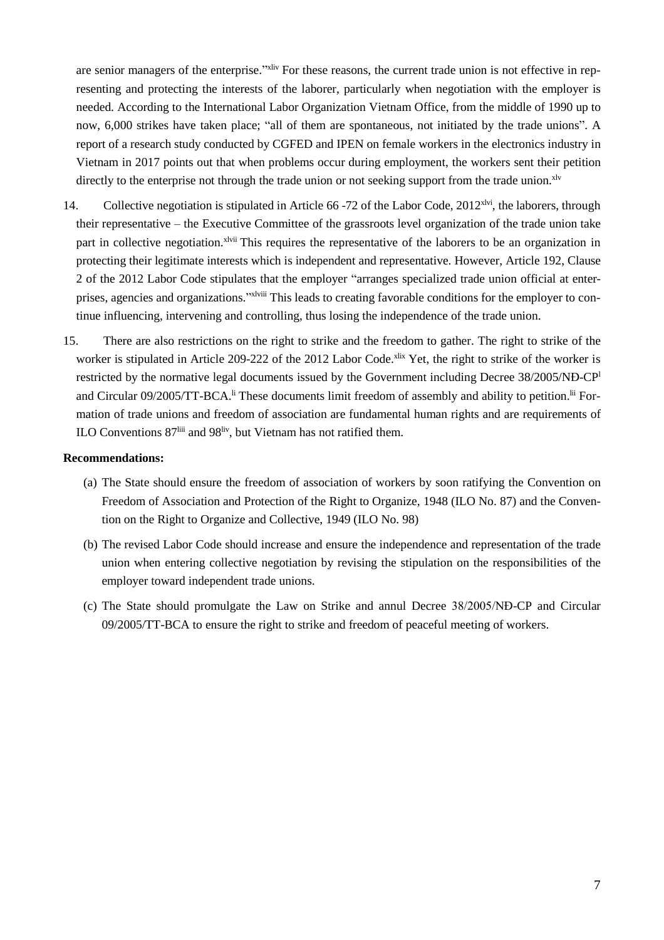are senior managers of the enterprise."<sup>xliv</sup> For these reasons, the current trade union is not effective in representing and protecting the interests of the laborer, particularly when negotiation with the employer is needed. According to the International Labor Organization Vietnam Office, from the middle of 1990 up to now, 6,000 strikes have taken place; "all of them are spontaneous, not initiated by the trade unions". A report of a research study conducted by CGFED and IPEN on female workers in the electronics industry in Vietnam in 2017 points out that when problems occur during employment, the workers sent their petition directly to the enterprise not through the trade union or not seeking support from the trade union.<sup>xlv</sup>

- 14. Collective negotiation is stipulated in Article 66 -72 of the Labor Code,  $2012<sup>xivi</sup>$ , the laborers, through their representative – the Executive Committee of the grassroots level organization of the trade union take part in collective negotiation.<sup>xlvii</sup> This requires the representative of the laborers to be an organization in protecting their legitimate interests which is independent and representative. However, Article 192, Clause 2 of the 2012 Labor Code stipulates that the employer "arranges specialized trade union official at enterprises, agencies and organizations."xlviii This leads to creating favorable conditions for the employer to continue influencing, intervening and controlling, thus losing the independence of the trade union.
- 15. There are also restrictions on the right to strike and the freedom to gather. The right to strike of the worker is stipulated in Article 209-222 of the 2012 Labor Code.<sup>xlix</sup> Yet, the right to strike of the worker is restricted by the normative legal documents issued by the Government including Decree 38/2005/NĐ-CP<sup>l</sup> and Circular 09/2005/TT-BCA.<sup>li</sup> These documents limit freedom of assembly and ability to petition.<sup>lii</sup> Formation of trade unions and freedom of association are fundamental human rights and are requirements of ILO Conventions 87<sup>liii</sup> and 98<sup>liv</sup>, but Vietnam has not ratified them.

- (a) The State should ensure the freedom of association of workers by soon ratifying the Convention on Freedom of Association and Protection of the Right to Organize, 1948 (ILO No. 87) and the Convention on the Right to Organize and Collective, 1949 (ILO No. 98)
- (b) The revised Labor Code should increase and ensure the independence and representation of the trade union when entering collective negotiation by revising the stipulation on the responsibilities of the employer toward independent trade unions.
- (c) The State should promulgate the Law on Strike and annul Decree 38/2005/NĐ-CP and Circular 09/2005/TT-BCA to ensure the right to strike and freedom of peaceful meeting of workers.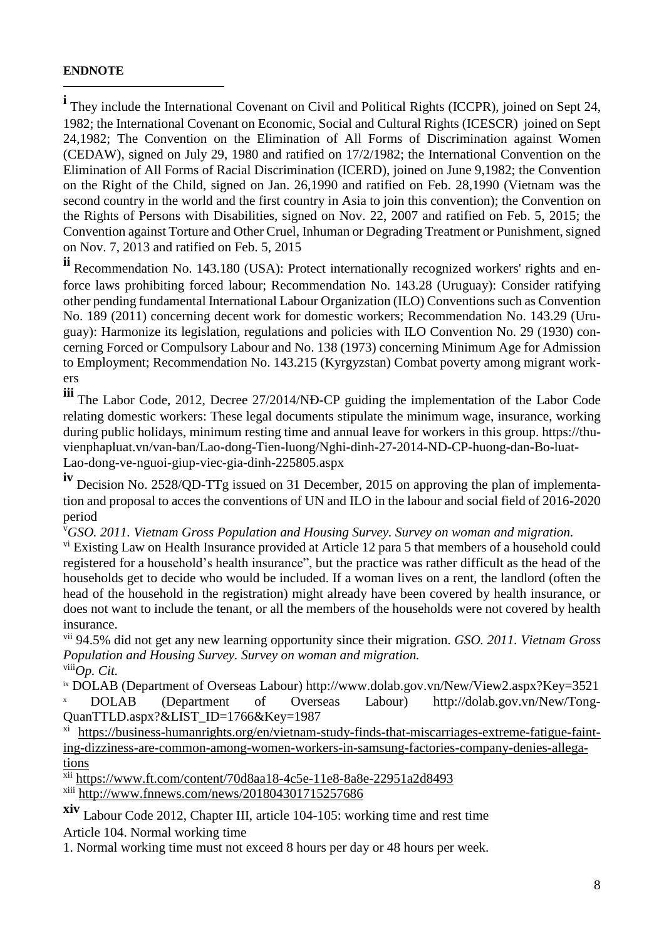#### **ENDNOTE**

 $\overline{a}$ 

**i** They include the International Covenant on Civil and Political Rights (ICCPR), joined on Sept 24, 1982; the International Covenant on Economic, Social and Cultural Rights (ICESCR) joined on Sept 24,1982; The Convention on the Elimination of All Forms of Discrimination against Women (CEDAW), signed on July 29, 1980 and ratified on 17/2/1982; the International Convention on the Elimination of All Forms of Racial Discrimination (ICERD), joined on June 9,1982; the Convention on the Right of the Child, signed on Jan. 26,1990 and ratified on Feb. 28,1990 (Vietnam was the second country in the world and the first country in Asia to join this convention); the Convention on the Rights of Persons with Disabilities, signed on Nov. 22, 2007 and ratified on Feb. 5, 2015; the Convention against Torture and Other Cruel, Inhuman or Degrading Treatment or Punishment, signed on Nov. 7, 2013 and ratified on Feb. 5, 2015

**ii** Recommendation No. 143.180 (USA): Protect internationally recognized workers' rights and enforce laws prohibiting forced labour; Recommendation No. 143.28 (Uruguay): Consider ratifying other pending fundamental International Labour Organization (ILO) Conventions such as Convention No. 189 (2011) concerning decent work for domestic workers; Recommendation No. 143.29 (Uruguay): Harmonize its legislation, regulations and policies with ILO Convention No. 29 (1930) concerning Forced or Compulsory Labour and No. 138 (1973) concerning Minimum Age for Admission to Employment; Recommendation No. 143.215 (Kyrgyzstan) Combat poverty among migrant workers

**iii** The Labor Code, 2012, Decree 27/2014/NĐ-CP guiding the implementation of the Labor Code relating domestic workers: These legal documents stipulate the minimum wage, insurance, working during public holidays, minimum resting time and annual leave for workers in this group. https://thuvienphapluat.vn/van-ban/Lao-dong-Tien-luong/Nghi-dinh-27-2014-ND-CP-huong-dan-Bo-luat-Lao-dong-ve-nguoi-giup-viec-gia-dinh-225805.aspx

**iv** Decision No. 2528/QD-TTg issued on <sup>31</sup> December, <sup>2015</sup> on approving the plan of implementation and proposal to acces the conventions of UN and ILO in the labour and social field of 2016-2020 period

<sup>v</sup>*GSO. 2011. Vietnam Gross Population and Housing Survey. Survey on woman and migration.*

<sup>vi</sup> Existing Law on Health Insurance provided at Article 12 para 5 that members of a household could registered for a household's health insurance", but the practice was rather difficult as the head of the households get to decide who would be included. If a woman lives on a rent, the landlord (often the head of the household in the registration) might already have been covered by health insurance, or does not want to include the tenant, or all the members of the households were not covered by health insurance.

vii 94.5% did not get any new learning opportunity since their migration. *GSO. 2011. Vietnam Gross Population and Housing Survey. Survey on woman and migration.* viii*Op. Cit.*

ix DOLAB (Department of Overseas Labour) http://www.dolab.gov.vn/New/View2.aspx?Key=3521 <sup>x</sup> DOLAB (Department of Overseas Labour) http://dolab.gov.vn/New/Tong-QuanTTLD.aspx?&LIST\_ID=1766&Key=1987

xi [https://business-humanrights.org/en/vietnam-study-finds-that-miscarriages-extreme-fatigue-faint](https://business-humanrights.org/en/vietnam-study-finds-that-miscarriages-extreme-fatigue-fainting-dizziness-are-common-among-women-workers-in-samsung-factories-company-denies-allegations)[ing-dizziness-are-common-among-women-workers-in-samsung-factories-company-denies-allega](https://business-humanrights.org/en/vietnam-study-finds-that-miscarriages-extreme-fatigue-fainting-dizziness-are-common-among-women-workers-in-samsung-factories-company-denies-allegations)[tions](https://business-humanrights.org/en/vietnam-study-finds-that-miscarriages-extreme-fatigue-fainting-dizziness-are-common-among-women-workers-in-samsung-factories-company-denies-allegations)

xii <https://www.ft.com/content/70d8aa18-4c5e-11e8-8a8e-22951a2d8493>

xiii <http://www.fnnews.com/news/201804301715257686>

**xiv** Labour Code 2012, Chapter III, article 104-105: working time and rest time Article 104. Normal working time

1. Normal working time must not exceed 8 hours per day or 48 hours per week.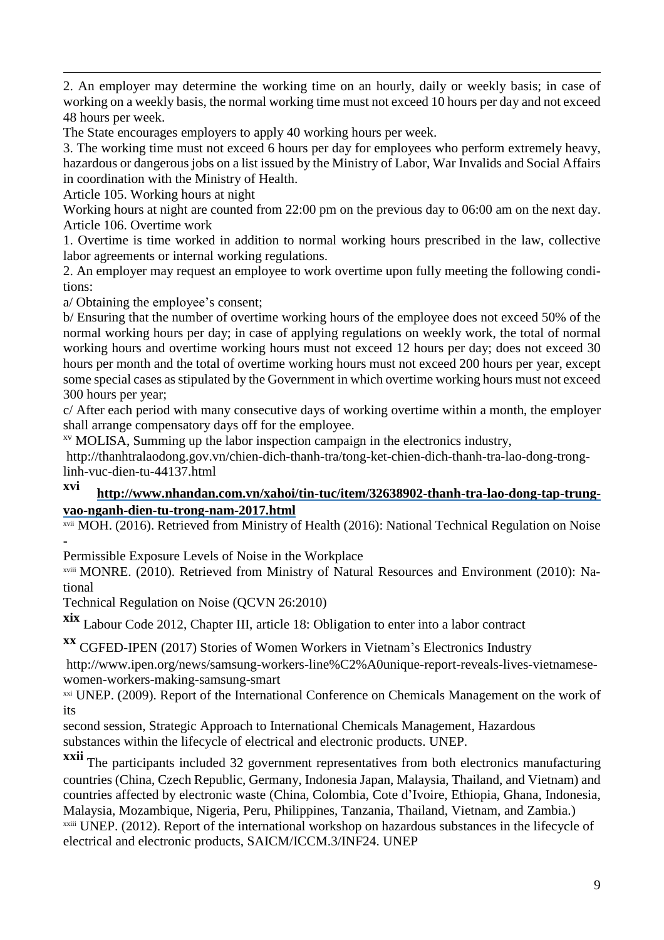$\overline{a}$ 2. An employer may determine the working time on an hourly, daily or weekly basis; in case of working on a weekly basis, the normal working time must not exceed 10 hours per day and not exceed 48 hours per week.

The State encourages employers to apply 40 working hours per week.

3. The working time must not exceed 6 hours per day for employees who perform extremely heavy, hazardous or dangerous jobs on a list issued by the Ministry of Labor, War Invalids and Social Affairs in coordination with the Ministry of Health.

Article 105. Working hours at night

Working hours at night are counted from 22:00 pm on the previous day to 06:00 am on the next day. Article 106. Overtime work

1. Overtime is time worked in addition to normal working hours prescribed in the law, collective labor agreements or internal working regulations.

2. An employer may request an employee to work overtime upon fully meeting the following conditions:

a/ Obtaining the employee's consent;

b/ Ensuring that the number of overtime working hours of the employee does not exceed 50% of the normal working hours per day; in case of applying regulations on weekly work, the total of normal working hours and overtime working hours must not exceed 12 hours per day; does not exceed 30 hours per month and the total of overtime working hours must not exceed 200 hours per year, except some special cases as stipulated by the Government in which overtime working hours must not exceed 300 hours per year;

c/ After each period with many consecutive days of working overtime within a month, the employer shall arrange compensatory days off for the employee.

xv MOLISA, Summing up the labor inspection campaign in the electronics industry,

http://thanhtralaodong.gov.vn/chien-dich-thanh-tra/tong-ket-chien-dich-thanh-tra-lao-dong-tronglinh-vuc-dien-tu-44137.html

## **xvi [http://www.nhandan.com.vn/xahoi/tin-tuc/item/32638902-thanh-tra-lao-dong-tap-trung](http://www.nhandan.com.vn/xahoi/tin-tuc/item/32638902-thanh-tra-lao-dong-tap-trung-vao-nganh-dien-tu-trong-nam-2017.html)[vao-nganh-dien-tu-trong-nam-2017.html](http://www.nhandan.com.vn/xahoi/tin-tuc/item/32638902-thanh-tra-lao-dong-tap-trung-vao-nganh-dien-tu-trong-nam-2017.html)**

xvii MOH. (2016). Retrieved from Ministry of Health (2016): National Technical Regulation on Noise -

Permissible Exposure Levels of Noise in the Workplace

xviii MONRE. (2010). Retrieved from Ministry of Natural Resources and Environment (2010): National

Technical Regulation on Noise (QCVN 26:2010)

**xix** Labour Code 2012, Chapter III, article 18: Obligation to enter into <sup>a</sup> labor contract

**xx** CGFED-IPEN (2017) Stories of Women Workers in Vietnam's Electronics Industry

http://www.ipen.org/news/samsung-workers-line%C2%A0unique-report-reveals-lives-vietnamesewomen-workers-making-samsung-smart

xxi UNEP. (2009). Report of the International Conference on Chemicals Management on the work of its

second session, Strategic Approach to International Chemicals Management, Hazardous substances within the lifecycle of electrical and electronic products. UNEP.

**xxii** The participants included 32 government representatives from both electronics manufacturing countries (China, Czech Republic, Germany, Indonesia Japan, Malaysia, Thailand, and Vietnam) and countries affected by electronic waste (China, Colombia, Cote d'Ivoire, Ethiopia, Ghana, Indonesia, Malaysia, Mozambique, Nigeria, Peru, Philippines, Tanzania, Thailand, Vietnam, and Zambia.) xxiii UNEP. (2012). Report of the international workshop on hazardous substances in the lifecycle of electrical and electronic products, SAICM/ICCM.3/INF24. UNEP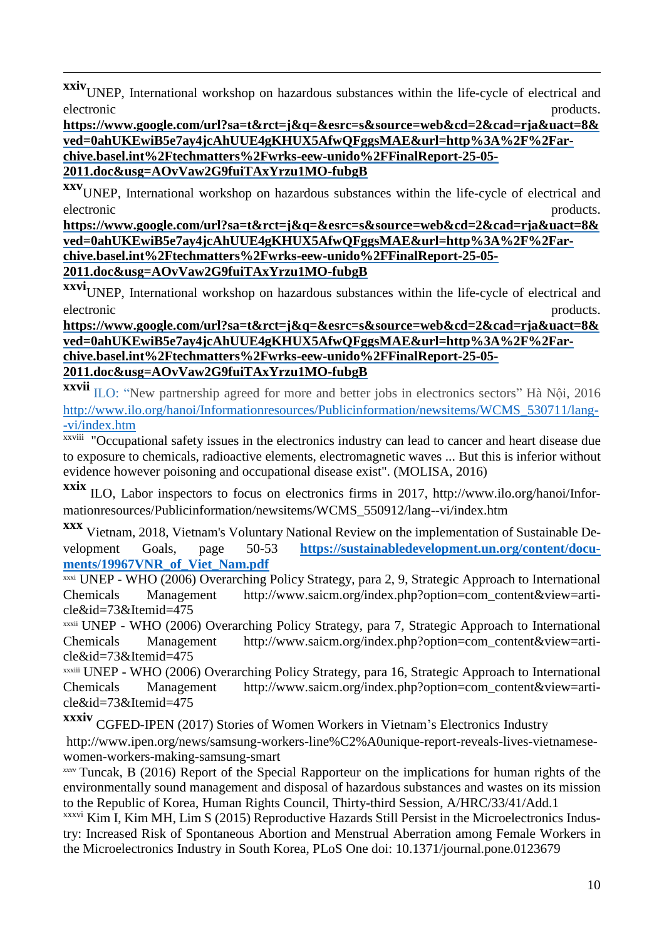**xxiv**UNEP, International workshop on hazardous substances within the life-cycle of electrical and electronic products.

 $\overline{a}$ 

**[https://www.google.com/url?sa=t&rct=j&q=&esrc=s&source=web&cd=2&cad=rja&uact=8&](https://www.google.com/url?sa=t&rct=j&q=&esrc=s&source=web&cd=2&cad=rja&uact=8&ved=0ahUKEwiB5e7ay4jcAhUUE4gKHUX5AfwQFggsMAE&url=http%2525253A%2525252F%2525252Farchive.basel.int%2525252Ftechmatters%2525252Fwrks-eew-unido%2525252FFinalReport-25-05-2011.doc&usg=AOvVaw2G9fuiTAxYrzu1MO-fubgB) [ved=0ahUKEwiB5e7ay4jcAhUUE4gKHUX5AfwQFggsMAE&url=http%3A%2F%2Far](https://www.google.com/url?sa=t&rct=j&q=&esrc=s&source=web&cd=2&cad=rja&uact=8&ved=0ahUKEwiB5e7ay4jcAhUUE4gKHUX5AfwQFggsMAE&url=http%2525253A%2525252F%2525252Farchive.basel.int%2525252Ftechmatters%2525252Fwrks-eew-unido%2525252FFinalReport-25-05-2011.doc&usg=AOvVaw2G9fuiTAxYrzu1MO-fubgB)[chive.basel.int%2Ftechmatters%2Fwrks-eew-unido%2FFinalReport-25-05-](https://www.google.com/url?sa=t&rct=j&q=&esrc=s&source=web&cd=2&cad=rja&uact=8&ved=0ahUKEwiB5e7ay4jcAhUUE4gKHUX5AfwQFggsMAE&url=http%2525253A%2525252F%2525252Farchive.basel.int%2525252Ftechmatters%2525252Fwrks-eew-unido%2525252FFinalReport-25-05-2011.doc&usg=AOvVaw2G9fuiTAxYrzu1MO-fubgB) [2011.doc&usg=AOvVaw2G9fuiTAxYrzu1MO-fubgB](https://www.google.com/url?sa=t&rct=j&q=&esrc=s&source=web&cd=2&cad=rja&uact=8&ved=0ahUKEwiB5e7ay4jcAhUUE4gKHUX5AfwQFggsMAE&url=http%2525253A%2525252F%2525252Farchive.basel.int%2525252Ftechmatters%2525252Fwrks-eew-unido%2525252FFinalReport-25-05-2011.doc&usg=AOvVaw2G9fuiTAxYrzu1MO-fubgB)**

**xxv**UNEP, International workshop on hazardous substances within the life-cycle of electrical and electronic products.

**[https://www.google.com/url?sa=t&rct=j&q=&esrc=s&source=web&cd=2&cad=rja&uact=8&](https://www.google.com/url?sa=t&rct=j&q=&esrc=s&source=web&cd=2&cad=rja&uact=8&ved=0ahUKEwiB5e7ay4jcAhUUE4gKHUX5AfwQFggsMAE&url=http%2525253A%2525252F%2525252Farchive.basel.int%2525252Ftechmatters%2525252Fwrks-eew-unido%2525252FFinalReport-25-05-2011.doc&usg=AOvVaw2G9fuiTAxYrzu1MO-fubgB) [ved=0ahUKEwiB5e7ay4jcAhUUE4gKHUX5AfwQFggsMAE&url=http%3A%2F%2Far](https://www.google.com/url?sa=t&rct=j&q=&esrc=s&source=web&cd=2&cad=rja&uact=8&ved=0ahUKEwiB5e7ay4jcAhUUE4gKHUX5AfwQFggsMAE&url=http%2525253A%2525252F%2525252Farchive.basel.int%2525252Ftechmatters%2525252Fwrks-eew-unido%2525252FFinalReport-25-05-2011.doc&usg=AOvVaw2G9fuiTAxYrzu1MO-fubgB)[chive.basel.int%2Ftechmatters%2Fwrks-eew-unido%2FFinalReport-25-05-](https://www.google.com/url?sa=t&rct=j&q=&esrc=s&source=web&cd=2&cad=rja&uact=8&ved=0ahUKEwiB5e7ay4jcAhUUE4gKHUX5AfwQFggsMAE&url=http%2525253A%2525252F%2525252Farchive.basel.int%2525252Ftechmatters%2525252Fwrks-eew-unido%2525252FFinalReport-25-05-2011.doc&usg=AOvVaw2G9fuiTAxYrzu1MO-fubgB) [2011.doc&usg=AOvVaw2G9fuiTAxYrzu1MO-fubgB](https://www.google.com/url?sa=t&rct=j&q=&esrc=s&source=web&cd=2&cad=rja&uact=8&ved=0ahUKEwiB5e7ay4jcAhUUE4gKHUX5AfwQFggsMAE&url=http%2525253A%2525252F%2525252Farchive.basel.int%2525252Ftechmatters%2525252Fwrks-eew-unido%2525252FFinalReport-25-05-2011.doc&usg=AOvVaw2G9fuiTAxYrzu1MO-fubgB)**

**xxvi**UNEP, International workshop on hazardous substances within the life-cycle of electrical and electronic products.

**[https://www.google.com/url?sa=t&rct=j&q=&esrc=s&source=web&cd=2&cad=rja&uact=8&](https://www.google.com/url?sa=t&rct=j&q=&esrc=s&source=web&cd=2&cad=rja&uact=8&ved=0ahUKEwiB5e7ay4jcAhUUE4gKHUX5AfwQFggsMAE&url=http%2525253A%2525252F%2525252Farchive.basel.int%2525252Ftechmatters%2525252Fwrks-eew-unido%2525252FFinalReport-25-05-2011.doc&usg=AOvVaw2G9fuiTAxYrzu1MO-fubgB) [ved=0ahUKEwiB5e7ay4jcAhUUE4gKHUX5AfwQFggsMAE&url=http%3A%2F%2Far](https://www.google.com/url?sa=t&rct=j&q=&esrc=s&source=web&cd=2&cad=rja&uact=8&ved=0ahUKEwiB5e7ay4jcAhUUE4gKHUX5AfwQFggsMAE&url=http%2525253A%2525252F%2525252Farchive.basel.int%2525252Ftechmatters%2525252Fwrks-eew-unido%2525252FFinalReport-25-05-2011.doc&usg=AOvVaw2G9fuiTAxYrzu1MO-fubgB)[chive.basel.int%2Ftechmatters%2Fwrks-eew-unido%2FFinalReport-25-05-](https://www.google.com/url?sa=t&rct=j&q=&esrc=s&source=web&cd=2&cad=rja&uact=8&ved=0ahUKEwiB5e7ay4jcAhUUE4gKHUX5AfwQFggsMAE&url=http%2525253A%2525252F%2525252Farchive.basel.int%2525252Ftechmatters%2525252Fwrks-eew-unido%2525252FFinalReport-25-05-2011.doc&usg=AOvVaw2G9fuiTAxYrzu1MO-fubgB) [2011.doc&usg=AOvVaw2G9fuiTAxYrzu1MO-fubgB](https://www.google.com/url?sa=t&rct=j&q=&esrc=s&source=web&cd=2&cad=rja&uact=8&ved=0ahUKEwiB5e7ay4jcAhUUE4gKHUX5AfwQFggsMAE&url=http%2525253A%2525252F%2525252Farchive.basel.int%2525252Ftechmatters%2525252Fwrks-eew-unido%2525252FFinalReport-25-05-2011.doc&usg=AOvVaw2G9fuiTAxYrzu1MO-fubgB)**

**xxvii** ILO: "New partnership agreed for more and better jobs in electronics sectors" Hà Nội, <sup>2016</sup> [http://www.ilo.org/hanoi/Informationresources/Publicinformation/newsitems/WCMS\\_530711/lang-](http://www.ilo.org/hanoi/Informationresources/Publicinformation/newsitems/WCMS_530711/lang--vi/index.htm) [-vi/index.htm](http://www.ilo.org/hanoi/Informationresources/Publicinformation/newsitems/WCMS_530711/lang--vi/index.htm)

xxviii "Occupational safety issues in the electronics industry can lead to cancer and heart disease due to exposure to chemicals, radioactive elements, electromagnetic waves ... But this is inferior without evidence however poisoning and occupational disease exist". (MOLISA, 2016)

**xxix** ILO, Labor inspectors to focus on electronics firms in 2017, http://www.ilo.org/hanoi/Informationresources/Publicinformation/newsitems/WCMS\_550912/lang--vi/index.htm

**xxx** Vietnam, 2018, Vietnam's Voluntary National Review on the implementation of Sustainable Development Goals, page 50-53 **[https://sustainabledevelopment.un.org/content/docu](https://sustainabledevelopment.un.org/content/documents/19967VNR_of_Viet_Nam.pdf)[ments/19967VNR\\_of\\_Viet\\_Nam.pdf](https://sustainabledevelopment.un.org/content/documents/19967VNR_of_Viet_Nam.pdf)**

xxxi UNEP - WHO (2006) Overarching Policy Strategy, para 2, 9, Strategic Approach to International Chemicals Management http://www.saicm.org/index.php?option=com\_content&view=article&id=73&Itemid=475

xxxii UNEP - WHO (2006) Overarching Policy Strategy, para 7, Strategic Approach to International Chemicals Management http://www.saicm.org/index.php?option=com\_content&view=article&id=73&Itemid=475

xxxiii UNEP - WHO (2006) Overarching Policy Strategy, para 16, Strategic Approach to International Chemicals Management http://www.saicm.org/index.php?option=com\_content&view=article&id=73&Itemid=475

**xxxiv** CGFED-IPEN (2017) Stories of Women Workers in Vietnam's Electronics Industry http://www.ipen.org/news/samsung-workers-line%C2%A0unique-report-reveals-lives-vietnamesewomen-workers-making-samsung-smart

*xxxv* Tuncak, B (2016) Report of the Special Rapporteur on the implications for human rights of the environmentally sound management and disposal of hazardous substances and wastes on its mission to the Republic of Korea, Human Rights Council, Thirty-third Session, A/HRC/33/41/Add.1

xxxvi Kim I, Kim MH, Lim S (2015) Reproductive Hazards Still Persist in the Microelectronics Industry: Increased Risk of Spontaneous Abortion and Menstrual Aberration among Female Workers in the Microelectronics Industry in South Korea, PLoS One doi: 10.1371/journal.pone.0123679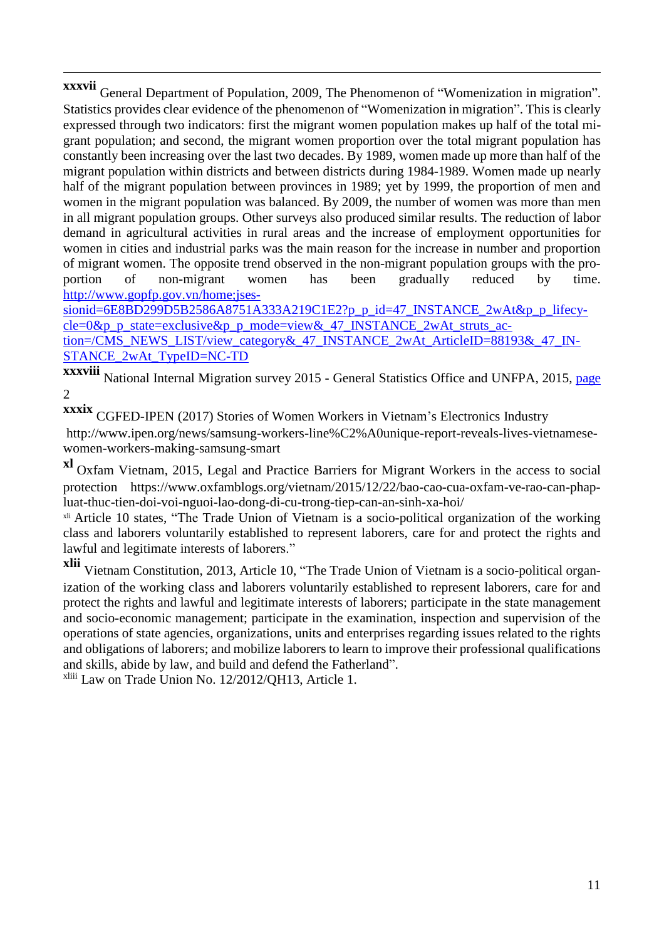**xxxvii** General Department of Population, 2009, The Phenomenon of "Womenization in migration". Statistics provides clear evidence of the phenomenon of "Womenization in migration". This is clearly expressed through two indicators: first the migrant women population makes up half of the total migrant population; and second, the migrant women proportion over the total migrant population has constantly been increasing over the last two decades. By 1989, women made up more than half of the migrant population within districts and between districts during 1984-1989. Women made up nearly half of the migrant population between provinces in 1989; yet by 1999, the proportion of men and women in the migrant population was balanced. By 2009, the number of women was more than men in all migrant population groups. Other surveys also produced similar results. The reduction of labor demand in agricultural activities in rural areas and the increase of employment opportunities for women in cities and industrial parks was the main reason for the increase in number and proportion of migrant women. The opposite trend observed in the non-migrant population groups with the proportion of non-migrant women has been gradually reduced by time. [http://www.gopfp.gov.vn/home;jses-](http://www.gopfp.gov.vn/home%25253Bjsessionid=6E8BD299D5B2586A8751A333A219C1E2?p_p_id=47_INSTANCE_2wAt&p_p_lifecycle=0&p_p_state=exclusive&p_p_mode=view&_47_INSTANCE_2wAt_struts_action=/CMS_NEWS_LIST/view_category&_47_INSTANCE_2wAt_ArticleID=88193&_47_INSTANCE_2wAt_TypeID=NC-TD)

[sionid=6E8BD299D5B2586A8751A333A219C1E2?p\\_p\\_id=47\\_INSTANCE\\_2wAt&p\\_p\\_lifecy](http://www.gopfp.gov.vn/home%25253Bjsessionid=6E8BD299D5B2586A8751A333A219C1E2?p_p_id=47_INSTANCE_2wAt&p_p_lifecycle=0&p_p_state=exclusive&p_p_mode=view&_47_INSTANCE_2wAt_struts_action=/CMS_NEWS_LIST/view_category&_47_INSTANCE_2wAt_ArticleID=88193&_47_INSTANCE_2wAt_TypeID=NC-TD)[cle=0&p\\_p\\_state=exclusive&p\\_p\\_mode=view&\\_47\\_INSTANCE\\_2wAt\\_struts\\_ac](http://www.gopfp.gov.vn/home%25253Bjsessionid=6E8BD299D5B2586A8751A333A219C1E2?p_p_id=47_INSTANCE_2wAt&p_p_lifecycle=0&p_p_state=exclusive&p_p_mode=view&_47_INSTANCE_2wAt_struts_action=/CMS_NEWS_LIST/view_category&_47_INSTANCE_2wAt_ArticleID=88193&_47_INSTANCE_2wAt_TypeID=NC-TD)[tion=/CMS\\_NEWS\\_LIST/view\\_category&\\_47\\_INSTANCE\\_2wAt\\_ArticleID=88193&\\_47\\_IN-](http://www.gopfp.gov.vn/home%25253Bjsessionid=6E8BD299D5B2586A8751A333A219C1E2?p_p_id=47_INSTANCE_2wAt&p_p_lifecycle=0&p_p_state=exclusive&p_p_mode=view&_47_INSTANCE_2wAt_struts_action=/CMS_NEWS_LIST/view_category&_47_INSTANCE_2wAt_ArticleID=88193&_47_INSTANCE_2wAt_TypeID=NC-TD)[STANCE\\_2wAt\\_TypeID=NC-TD](http://www.gopfp.gov.vn/home%25253Bjsessionid=6E8BD299D5B2586A8751A333A219C1E2?p_p_id=47_INSTANCE_2wAt&p_p_lifecycle=0&p_p_state=exclusive&p_p_mode=view&_47_INSTANCE_2wAt_struts_action=/CMS_NEWS_LIST/view_category&_47_INSTANCE_2wAt_ArticleID=88193&_47_INSTANCE_2wAt_TypeID=NC-TD)

**xxxviii** National Internal Migration survey <sup>2015</sup> - General Statistics Office and UNFPA, 2015, page 2

**xxxix** CGFED-IPEN (2017) Stories of Women Workers in Vietnam's Electronics Industry http://www.ipen.org/news/samsung-workers-line%C2%A0unique-report-reveals-lives-vietnamesewomen-workers-making-samsung-smart

**xl** Oxfam Vietnam, 2015, Legal and Practice Barriers for Migrant Workers in the access to social protection https://www.oxfamblogs.org/vietnam/2015/12/22/bao-cao-cua-oxfam-ve-rao-can-phapluat-thuc-tien-doi-voi-nguoi-lao-dong-di-cu-trong-tiep-can-an-sinh-xa-hoi/

<sup>xli</sup> Article 10 states, "The Trade Union of Vietnam is a socio-political organization of the working class and laborers voluntarily established to represent laborers, care for and protect the rights and lawful and legitimate interests of laborers."

**xlii** Vietnam Constitution, 2013, Article 10, "The Trade Union of Vietnam is <sup>a</sup> socio-political organization of the working class and laborers voluntarily established to represent laborers, care for and protect the rights and lawful and legitimate interests of laborers; participate in the state management and socio-economic management; participate in the examination, inspection and supervision of the operations of state agencies, organizations, units and enterprises regarding issues related to the rights and obligations of laborers; and mobilize laborers to learn to improve their professional qualifications and skills, abide by law, and build and defend the Fatherland".

xliii Law on Trade Union No. 12/2012/QH13, Article 1.

 $\overline{a}$